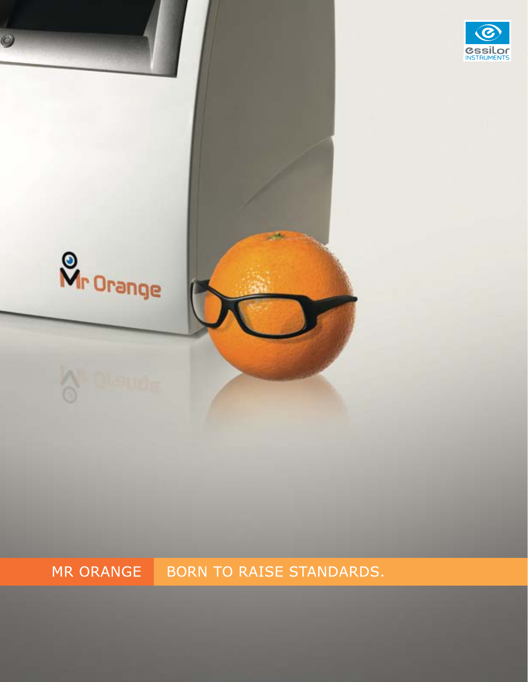

BORN TO RAISE STANDARDS. MR ORANGE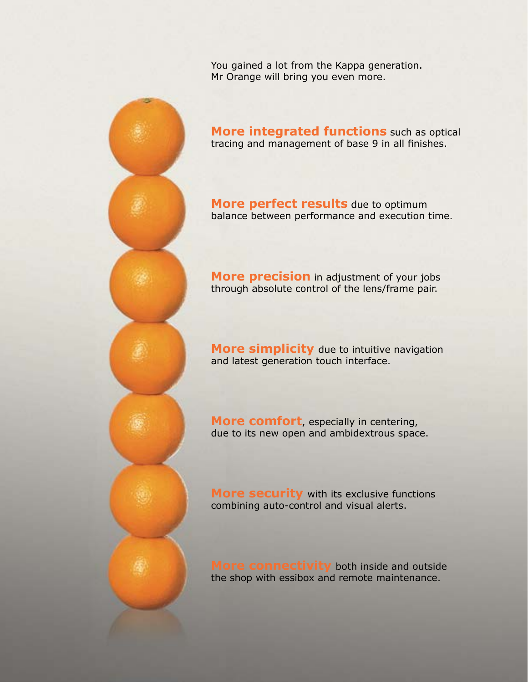You gained a lot from the Kappa generation. Mr Orange will bring you even more.

**More integrated functions** such as optical tracing and management of base 9 in all finishes.

**More perfect results** due to optimum balance between performance and execution time.

**More precision** in adjustment of your jobs through absolute control of the lens/frame pair.

**More simplicity** due to intuitive navigation and latest generation touch interface.

**More comfort**, especially in centering, due to its new open and ambidextrous space.

**More security** with its exclusive functions combining auto-control and visual alerts.

**More connectivity** both inside and outside the shop with essibox and remote maintenance.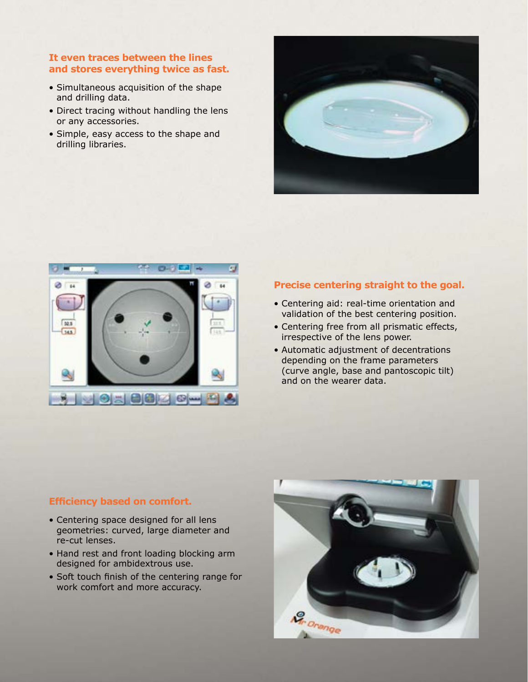#### **It even traces between the lines and stores everything twice as fast.**

- Simultaneous acquisition of the shape and drilling data.
- Direct tracing without handling the lens or any accessories.
- Simple, easy access to the shape and drilling libraries.





#### **Precise centering straight to the goal.**

- Centering aid: real-time orientation and validation of the best centering position.
- Centering free from all prismatic effects, irrespective of the lens power.
- Automatic adjustment of decentrations depending on the frame parameters (curve angle, base and pantoscopic tilt) and on the wearer data.

#### **Efficiency based on comfort.**

- Centering space designed for all lens geometries: curved, large diameter and re-cut lenses.
- Hand rest and front loading blocking arm designed for ambidextrous use.
- Soft touch finish of the centering range for work comfort and more accuracy.

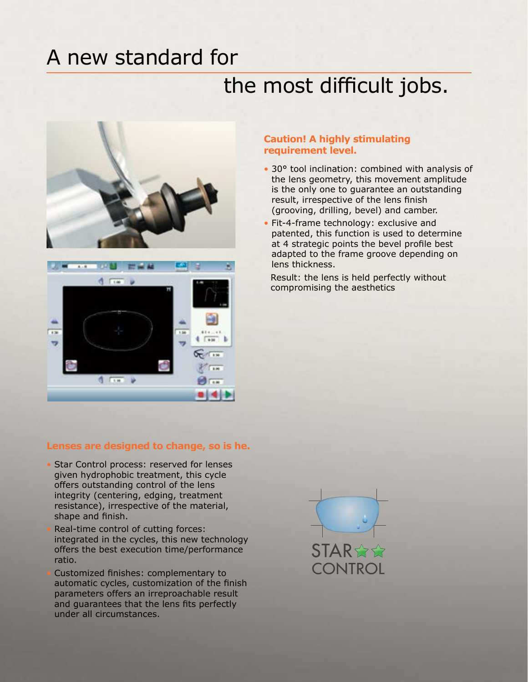### A new standard for

## the most difficult jobs.





#### **Caution! A highly stimulating requirement level.**

- 30° tool inclination: combined with analysis of the lens geometry, this movement amplitude is the only one to guarantee an outstanding result, irrespective of the lens finish (grooving, drilling, bevel) and camber.
- Fit-4-frame technology: exclusive and patented, this function is used to determine at 4 strategic points the bevel profile best adapted to the frame groove depending on lens thickness.

Result: the lens is held perfectly without compromising the aesthetics

#### **Lenses are designed to change, so is he.**

- Star Control process: reserved for lenses given hydrophobic treatment, this cycle offers outstanding control of the lens integrity (centering, edging, treatment resistance), irrespective of the material, shape and finish.
- Real-time control of cutting forces: integrated in the cycles, this new technology offers the best execution time/performance ratio.
- Customized finishes: complementary to automatic cycles, customization of the finish parameters offers an irreproachable result and guarantees that the lens fits perfectly under all circumstances.

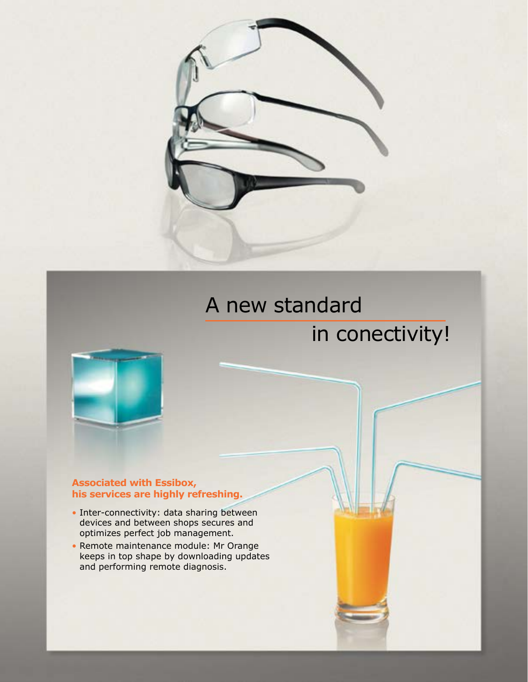

## A new standard

## in conectivity!



#### **Associated with Essibox, his services are highly refreshing.**

- Inter-connectivity: data sharing between devices and between shops secures and optimizes perfect job management.
- Remote maintenance module: Mr Orange keeps in top shape by downloading updates and performing remote diagnosis.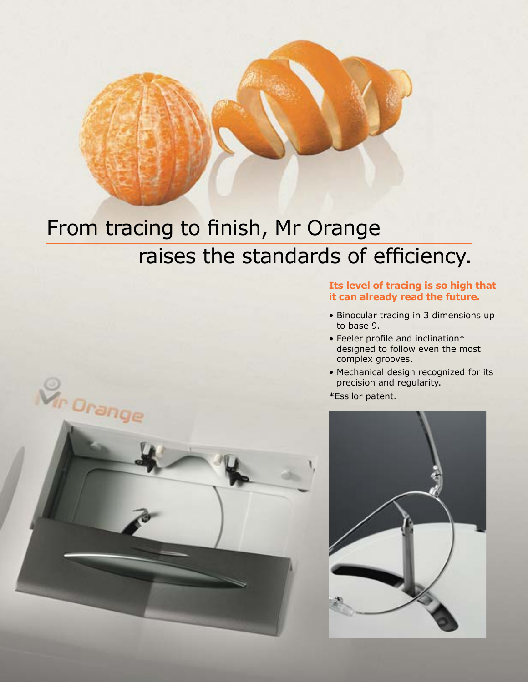# From tracing to finish, Mr Orange raises the standards of efficiency.

#### **Its level of tracing is so high that it can already read the future.**

- Binocular tracing in 3 dimensions up to base 9.
- Feeler profile and inclination\* designed to follow even the most complex grooves.
- Mechanical design recognized for its precision and regularity.
- \*Essilor patent.





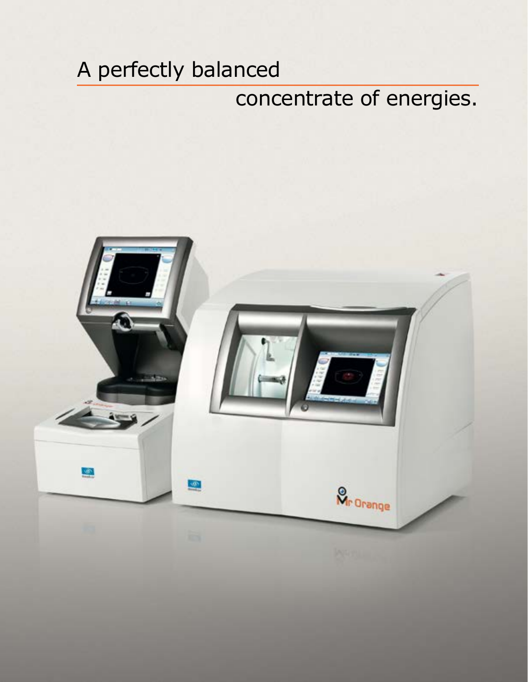## A perfectly balanced

## concentrate of energies.